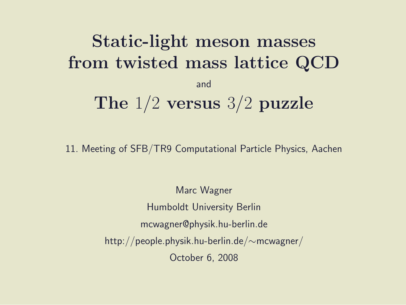# Static-light meson masses from twisted mass lattice QCD and The 1/2 versus 3/2 puzzle

11. Meeting of SFB/TR9 Computational Particle Physics, Aachen

Marc Wagner Humboldt University Berlin mcwagner@physik.hu-berlin.de http://people.physik.hu-berlin.de/∼mcwagner/ October 6, 2008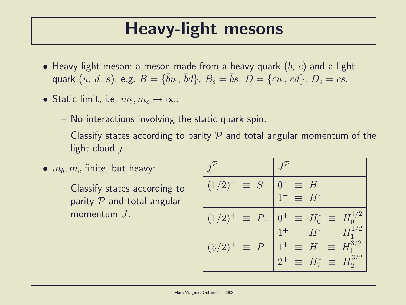### Heavy-light mesons

- Heavy-light meson: a meson made from a heavy quark  $(b, c)$  and a light quark  $(u, d, s)$ , e.g.  $B = \{\bar{b}u, \bar{b}d\}$ ,  $B_s = \bar{b}s$ ,  $D = \{\bar{c}u, \bar{c}d\}$ ,  $D_s = \bar{c}s$ .
- Static limit, i.e.  $m_b, m_c \rightarrow \infty$ :
	- No interactions involving the static quark spin.
	- Classify states according to parity P and total angular momentum of the light cloud  $i$ .
- $\bullet$   $m_b, m_c$  finite, but heavy:
	- Classify states according to parity  $P$  and total angular momentum J.

| $(1/2)^{-}$<br>$\equiv S$       | $\equiv$ H                                                                                         |
|---------------------------------|----------------------------------------------------------------------------------------------------|
|                                 | $=$ $H^*$                                                                                          |
| $(1/2)^{+}$<br>$\equiv P_-$     | $\begin{cases} 0^+ \equiv H_0^* \equiv H_0^{1/2} \\ 1^+ \equiv H_1^* \equiv H_1^{1/2} \end{cases}$ |
|                                 |                                                                                                    |
| $(3/2)^{+}$<br>$\equiv$ $P_{+}$ | $1^+ \equiv H_1 \equiv H_1^{3/2}$                                                                  |
|                                 | $2^+ \equiv H_2^* \equiv H_2^{3/2}$                                                                |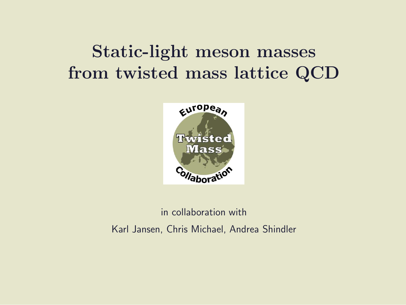### Static-light meson masses from twisted mass lattice QCD



#### in collaboration with Karl Jansen, Chris Michael, Andrea Shindler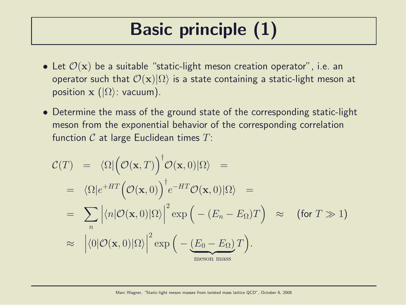# Basic principle (1)

- Let  $\mathcal{O}(\mathbf{x})$  be a suitable "static-light meson creation operator", i.e. an operator such that  $\mathcal{O}(\mathbf{x})|\Omega\rangle$  is a state containing a static-light meson at position  $\mathbf{x}$  ( $|\Omega\rangle$ : vacuum).
- Determine the mass of the ground state of the corresponding static-light meson from the exponential behavior of the corresponding correlation function  $C$  at large Euclidean times  $T$ :

$$
\mathcal{C}(T) = \langle \Omega | \big( \mathcal{O}(\mathbf{x}, T) \big)^{\dagger} \mathcal{O}(\mathbf{x}, 0) | \Omega \rangle =
$$
\n
$$
= \langle \Omega | e^{+HT} \big( \mathcal{O}(\mathbf{x}, 0) \big)^{\dagger} e^{-HT} \mathcal{O}(\mathbf{x}, 0) | \Omega \rangle =
$$
\n
$$
= \sum_{n} \left| \langle n | \mathcal{O}(\mathbf{x}, 0) | \Omega \rangle \right|^{2} \exp \big( - (E_{n} - E_{\Omega}) T \big) \approx \text{ (for } T \gg 1 \text{)}
$$
\n
$$
\approx \left| \langle 0 | \mathcal{O}(\mathbf{x}, 0) | \Omega \rangle \right|^{2} \exp \big( - \underbrace{(E_{0} - E_{\Omega}) T}_{\text{meson mass}} \big).
$$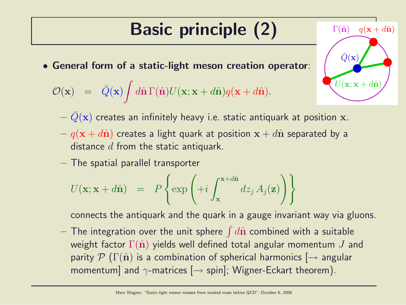# Basic principle (2)

• General form of a static-light meson creation operator:

$$
\mathcal{O}(\mathbf{x}) = \bar{Q}(\mathbf{x}) \int d\hat{\mathbf{n}} \Gamma(\hat{\mathbf{n}}) U(\mathbf{x}; \mathbf{x} + d\hat{\mathbf{n}}) q(\mathbf{x} + d\hat{\mathbf{n}}).
$$

 $-\bar{Q}(\mathbf{x})$  creates an infinitely heavy i.e. static antiquark at position x.

 $U(\mathbf{x}; \mathbf{x} + d\hat{\mathbf{n}})$ 

 $\Gamma(\hat{\mathbf{n}})$   $q(\mathbf{x} + d\hat{\mathbf{n}})$ 

 $\bar{Q}(\mathbf{x})$ 

- $q(\mathbf{x} + d\hat{\mathbf{n}})$  creates a light quark at position  $\mathbf{x} + d\hat{\mathbf{n}}$  separated by a distance  $d$  from the static antiquark.
- The spatial parallel transporter

$$
U(\mathbf{x}; \mathbf{x} + d\hat{\mathbf{n}}) = P\left\{\exp\left(+i\int_{\mathbf{x}}^{\mathbf{x} + d\hat{\mathbf{n}}} dz_j A_j(\mathbf{z})\right)\right\}
$$

connects the antiquark and the quark in a gauge invariant way via gluons.

 $-$  The integration over the unit sphere  $\int d\hat{\mathbf{n}}$  combined with a suitable weight factor  $\Gamma(\hat{\mathbf{n}})$  yields well defined total angular momentum J and parity  $\mathcal{P}(\Gamma(\hat{\mathbf{n}}))$  is a combination of spherical harmonics  $\rightarrow$  angular momentum] and  $\gamma$ -matrices  $[\rightarrow$  spin]; Wigner-Eckart theorem).

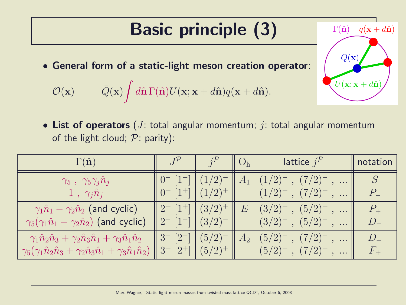# Basic principle (3)

• General form of a static-light meson creation operator:

$$
\mathcal{O}(\mathbf{x}) = \bar{Q}(\mathbf{x}) \int d\hat{\mathbf{n}} \Gamma(\hat{\mathbf{n}}) U(\mathbf{x}; \mathbf{x} + d\hat{\mathbf{n}}) q(\mathbf{x} + d\hat{\mathbf{n}}).
$$

• List of operators ( $J$ : total angular momentum;  $j$ : total angular momentum of the light cloud;  $P$ : parity):

| $\Gamma(\hat{\mathbf{n}})$                                                                                                                                                                       |                                                                                                                            | $\parallel$ O <sub>h</sub> $\parallel$ | <b>lattice</b> $j^{\mathcal{P}}$                                               | notation                 |
|--------------------------------------------------------------------------------------------------------------------------------------------------------------------------------------------------|----------------------------------------------------------------------------------------------------------------------------|----------------------------------------|--------------------------------------------------------------------------------|--------------------------|
| $\gamma_5 \; , \; \gamma_5 \gamma_j \hat n_j$<br>$\pm 1 \; , \; \gamma_j \hat n_j \,  $                                                                                                          | $0^{-}$ $[1^{-}]$ $(1/2)^{-}$<br>$\mid 0^{+}$ $\mid 1^{+}$ $\mid (1/2)^{+}$                                                |                                        | $\parallel A_1 \parallel (1/2)^{-}$ , $(7/2)^{-}$ ,<br>$(1/2)^+$ , $(7/2)^+$ , |                          |
| $\gamma_1 \hat{n}_1 - \gamma_2 \hat{n}_2$ (and cyclic)                                                                                                                                           | $\parallel 2^{+}$ [1 <sup>+</sup> ] $\parallel (3/2)^{+}$                                                                  | E                                      | $(3/2)^+$ , $(5/2)^+$ ,                                                        | $P_{+}$                  |
| $\gamma_5(\gamma_1\hat{n}_1-\gamma_2\hat{n}_2)$ (and cyclic)                                                                                                                                     | $\parallel 2^{-} [1^{-}]   (3/2)^{-}$                                                                                      |                                        | $(3/2)^{-}$ , $(5/2)^{-}$ ,                                                    |                          |
| $\gamma_1 \hat{n}_2 \hat{n}_3 + \gamma_2 \hat{n}_3 \hat{n}_1 + \gamma_3 \hat{n}_1 \hat{n}_2$<br>$\gamma_5(\gamma_1\hat{n}_2\hat{n}_3 + \gamma_2\hat{n}_3\hat{n}_1 + \gamma_3\hat{n}_1\hat{n}_2)$ | $\parallel 3^{-}$ [2 <sup>-</sup> ] $\mid (5/2)^{-} \parallel A_2$<br>$\parallel 3^{+}$ [2 <sup>+</sup> ] $\mid (5/2)^{+}$ |                                        | $(5/2)^{-}$ , $(7/2)^{-}$ ,<br>$(5/2)^+$ , $(7/2)^+$ ,                         | $D_{\rm +}$<br>$F_{\pm}$ |

 $U(\mathbf{x}; \mathbf{x} + d\hat{\mathbf{n}})$ 

 $\Gamma(\hat{\mathbf{n}})$   $q(\mathbf{x} + d\hat{\mathbf{n}})$ 

 $\overline{Q}(\mathbf{x})$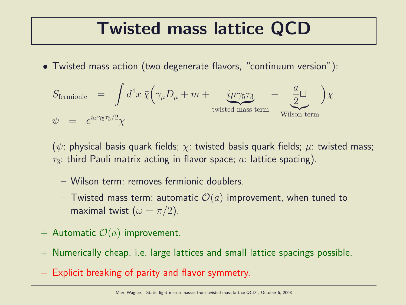### Twisted mass lattice QCD

• Twisted mass action (two degenerate flavors, "continuum version"):

$$
S_{\text{fermionic}} = \int d^4x \,\overline{\chi} \Big( \gamma_\mu D_\mu + m + \underbrace{i\mu \gamma_5 \tau_3}_{\text{twisted mass term}} - \underbrace{\frac{a}{2}}_{\text{Wilson term}} \Big) \chi
$$
  

$$
\psi = e^{i\omega \gamma_5 \tau_3/2} \chi
$$

( $\psi$ : physical basis quark fields;  $\chi$ : twisted basis quark fields;  $\mu$ : twisted mass;  $\tau_3$ : third Pauli matrix acting in flavor space; a: lattice spacing).

- Wilson term: removes fermionic doublers.
- Twisted mass term: automatic  $\mathcal{O}(a)$  improvement, when tuned to maximal twist  $(\omega = \pi/2)$ .
- + Automatic  $\mathcal{O}(a)$  improvement.
- + Numerically cheap, i.e. large lattices and small lattice spacings possible.
- − Explicit breaking of parity and flavor symmetry.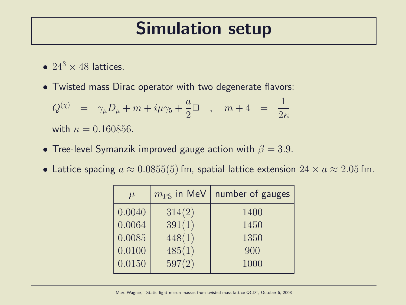#### Simulation setup

- $24^3 \times 48$  lattices.
- Twisted mass Dirac operator with two degenerate flavors:

$$
\begin{array}{rcl} Q^{(\chi)}&=&\gamma_\mu D_\mu+m+i\mu\gamma_5+\frac{a}{2}\Box\quad,\quad m+4&=&\frac{1}{2\kappa}\\[2mm] {\rm with}\ \kappa=0.160856. \end{array}
$$

- Tree-level Symanzik improved gauge action with  $\beta = 3.9$ .
- Lattice spacing  $a \approx 0.0855(5)$  fm, spatial lattice extension  $24 \times a \approx 2.05$  fm.

| $\mu$  | $m_{\rm PS}$ in MeV | number of gauges |
|--------|---------------------|------------------|
| 0.0040 | 314(2)              | 1400             |
| 0.0064 | 391(1)              | 1450             |
| 0.0085 | 448(1)              | 1350             |
| 0.0100 | 485(1)              | 900              |
| 0.0150 | 597(2)              | 1000             |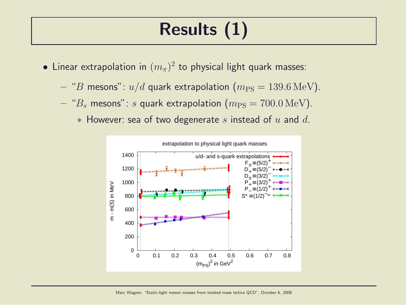# Results (1)

- $\bullet$  Linear extrapolation in  $(m_\pi)^2$  to physical light quark masses:
	- "B mesons":  $u/d$  quark extrapolation  $(m_{\rm PS} = 139.6 \,\text{MeV})$ .
	- " $B_s$  mesons": s quark extrapolation  $(m_{PS} = 700.0 \,\text{MeV})$ .
		- $*$  However: sea of two degenerate s instead of u and d.

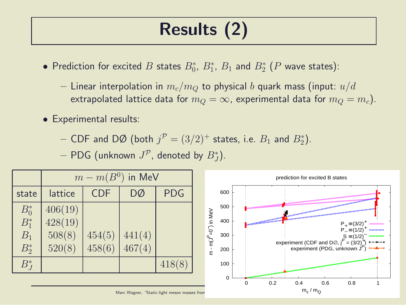# Results (2)

- $\bullet$  Prediction for excited  $B$  states  $B^*_0$ ,  $B^*_1$ ,  $B_1$  and  $B^*_2$   $(P$  wave states):
	- Linear interpolation in  $m_c/m_Q$  to physical b quark mass (input:  $u/d$ extrapolated lattice data for  $m_Q = \infty$ , experimental data for  $m_Q = m_c$ ).
- Experimental results:

 $-$  CDF and DØ (both  $j^{\mathcal{P}}=(3/2)^+$  states, i.e.  $B_1$  and  $B_2^*$ ).

 $-$  PDG (unknown  $J^{\mathcal{P}}$ , denoted by  $B^*_J$ ).

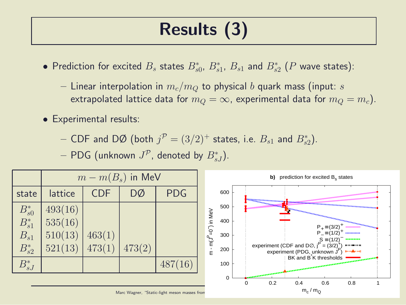# Results (3)

- $\bullet$  Prediction for excited  $B_s$  states  $B^*_{s0}$ ,  $B^*_{s1}$ ,  $B_{s1}$  and  $B^*_{s2}$  ( $P$  wave states):
	- Linear interpolation in  $m_c/m_Q$  to physical b quark mass (input: s extrapolated lattice data for  $m_Q = \infty$ , experimental data for  $m_Q = m_c$ ).
- Experimental results:

 $-$  CDF and DØ (both  $j^{\mathcal{P}} = (3/2)^+$  states, i.e.  $B_{s1}$  and  $B_{s2}^*$ ).

 $-$  PDG (unknown  $J^{\mathcal{P}}$ , denoted by  $B^*_{sJ}$ ).

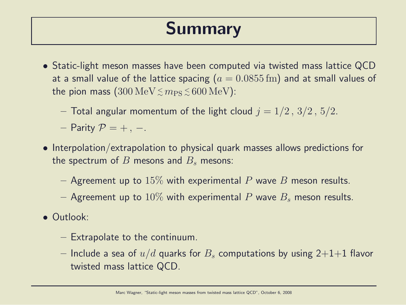### Summary

- Static-light meson masses have been computed via twisted mass lattice QCD at a small value of the lattice spacing ( $a = 0.0855$  fm) and at small values of the pion mass  $(300 \, \mathrm{MeV} \, \lesssim m_\mathrm{PS} \, \lesssim \, 600 \, \mathrm{MeV})$ :
	- Total angular momentum of the light cloud  $j = 1/2, 3/2, 5/2$ .
	- Parity  $\mathcal{P} = +$ , –.
- Interpolation/extrapolation to physical quark masses allows predictions for the spectrum of B mesons and  $B_s$  mesons:
	- Agreement up to 15% with experimental P wave B meson results.
	- Agreement up to 10% with experimental P wave  $B_s$  meson results.
- Outlook:
	- Extrapolate to the continuum.
	- Include a sea of  $u/d$  quarks for  $B_s$  computations by using 2+1+1 flavor twisted mass lattice QCD.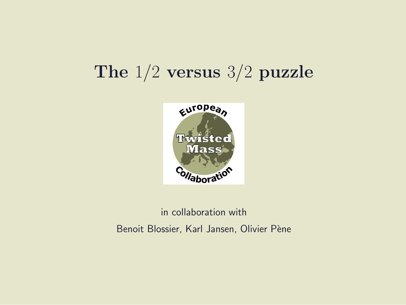### The 1/2 versus 3/2 puzzle



#### in collaboration with Benoit Blossier, Karl Jansen, Olivier Pène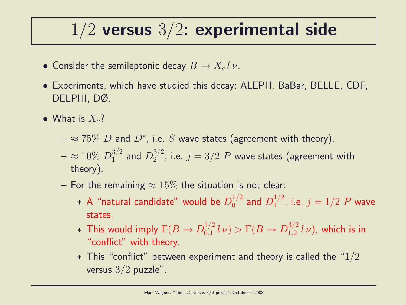### $1/2$  versus  $3/2$ : experimental side

- Consider the semileptonic decay  $B \to X_c l \, \nu$ .
- Experiments, which have studied this decay: ALEPH, BaBar, BELLE, CDF, DELPHI, DØ.
- What is  $X_c$ ?
	- $\approx$   $75\%$   $D$  and  $D^*$ , i.e.  $S$  wave states (agreement with theory).
	- $\approx 10\% \ D_1^{3/2}$  $_1^{3/2}$  and  $D_2^{3/2}$  $2^{3/2}$ , i.e.  $j = 3/2$   $P$  wave states (agreement with theory).
	- For the remaining  $\approx 15\%$  the situation is not clear:
		- $\;\ast$  A "natural candidate" would be  $D_0^{1/2}$  $_0^{1/2}$  and  $D_1^{1/2}$  $j^{1/2}$ , i.e.  $j = 1/2$   $P$  wave states.
		- $*$  This would imply  $\Gamma(B \to D^{1/2}_{0,1})$  $\int_{0,1}^{1/2} l \nu$   $> \Gamma(B \to D_{1,2}^{3/2})$  $\int_{1,2}^{3/2} l \nu$ ), which is in "conflict" with theory.
		- $*$  This "conflict" between experiment and theory is called the "1/2 versus  $3/2$  puzzle".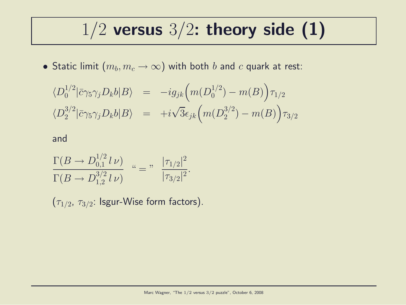### $1/2$  versus  $3/2$ : theory side (1)

 $\bullet$  Static limit  $(m_b,m_c\to\infty)$  with both  $b$  and  $c$  quark at rest:

$$
\langle D_0^{1/2} | \bar{c} \gamma_5 \gamma_j D_k b | B \rangle = -ig_{jk} \Big( m(D_0^{1/2}) - m(B) \Big) \tau_{1/2}
$$
  

$$
\langle D_2^{3/2} | \bar{c} \gamma_5 \gamma_j D_k b | B \rangle = +i \sqrt{3} \epsilon_{jk} \Big( m(D_2^{3/2}) - m(B) \Big) \tau_{3/2}
$$

and

$$
\frac{\Gamma(B \to D_{0,1}^{1/2} l \nu)}{\Gamma(B \to D_{1,2}^{3/2} l \nu)} \quad \text{``} = " \quad \frac{|\tau_{1/2}|^2}{|\tau_{3/2}|^2}.
$$

 $(\tau_{1/2},\,\tau_{3/2}\!\!:1$ sgur-Wise form factors).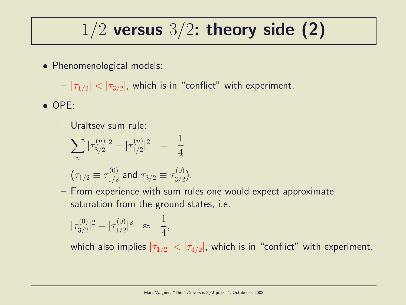# $1/2$  versus  $3/2$ : theory side (2)

• Phenomenological models:

 $-|\tau_{1/2}|<|\tau_{3/2}|$ , which is in "conflict" with experiment.

- OPE:
	- Uraltsev sum rule:

$$
\sum_{n} |\tau_{3/2}^{(n)}|^2 - |\tau_{1/2}^{(n)}|^2 = \frac{1}{4}
$$
  
\n $(\tau_{1/2} \equiv \tau_{1/2}^{(0)}$  and  $\tau_{3/2} \equiv \tau_{3/2}^{(0)}$ .

– From experience with sum rules one would expect approximate saturation from the ground states, i.e.

$$
|\tau_{3/2}^{(0)}|^2 - |\tau_{1/2}^{(0)}|^2 \quad \approx \quad \frac{1}{4},
$$

which also implies  $|\tau_{1/2}| < |\tau_{3/2}|$ , which is in "conflict" with experiment.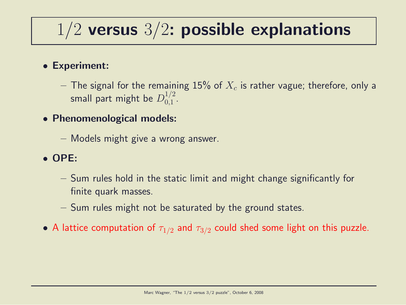### $1/2$  versus  $3/2$ : possible explanations

#### • Experiment:

- $-$  The signal for the remaining  $15\%$  of  $X_c$  is rather vague; therefore, only a small part might be  $D_{0.1}^{1/2}$  $\frac{1}{2}$ .
- Phenomenological models:
	- Models might give a wrong answer.

#### • OPE:

- Sum rules hold in the static limit and might change significantly for finite quark masses.
- Sum rules might not be saturated by the ground states.
- A lattice computation of  $\tau_{1/2}$  and  $\tau_{3/2}$  could shed some light on this puzzle.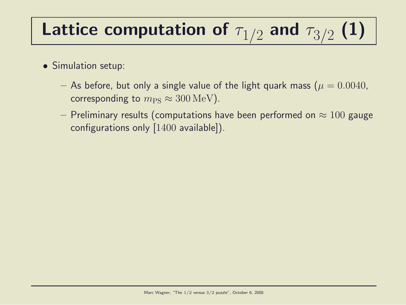#### Lattice computation of  $\tau_{1/2}$  and  $\tau_{3/2}$ (1)

- Simulation setup:
	- As before, but only a single value of the light quark mass ( $\mu = 0.0040$ , corresponding to  $m_{\rm PS} \approx 300 \,\text{MeV}$ .
	- Preliminary results (computations have been performed on  $\approx 100$  gauge configurations only [1400 available]).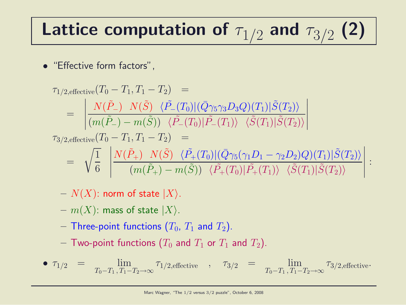# Lattice computation of  $\tau_{1/2}$  and  $\tau_{3/2}$  (2)

• "Effective form factors",

$$
\tau_{1/2, \text{effective}}(T_0 - T_1, T_1 - T_2) =
$$
\n
$$
= \left| \frac{N(\tilde{P}_{-}) \ N(\tilde{S}) \ \langle \tilde{P}_{-}(T_0) | (\bar{Q} \gamma_5 \gamma_3 D_3 Q) (T_1) | \tilde{S}(T_2) \rangle}{(m(\tilde{P}_{-}) - m(\tilde{S})) \ \langle \tilde{P}_{-}(T_0) | \tilde{P}_{-}(T_1) \rangle \ \langle \tilde{S}(T_1) | \tilde{S}(T_2) \rangle} \right|
$$
\n
$$
\tau_{3/2, \text{effective}}(T_0 - T_1, T_1 - T_2) =
$$
\n
$$
= \sqrt{\frac{1}{6}} \left| \frac{N(\tilde{P}_{+}) \ N(\tilde{S}) \ \langle \tilde{P}_{+}(T_0) | (\bar{Q} \gamma_5 (\gamma_1 D_1 - \gamma_2 D_2) Q) (T_1) | \tilde{S}(T_2) \rangle}{(m(\tilde{P}_{+}) - m(\tilde{S})) \ \langle \tilde{P}_{+}(T_0) | \tilde{P}_{+}(T_1) \rangle \ \langle \tilde{S}(T_1) | \tilde{S}(T_2) \rangle} \right| :
$$

- $N(X)$ : norm of state  $|X\rangle$ .
- $m(X)$ : mass of state  $|X\rangle$ .
- Three-point functions  $(T_0, T_1$  and  $T_2$ ).
- Two-point functions  $(T_0$  and  $T_1$  or  $T_1$  and  $T_2$ ).

• 
$$
\tau_{1/2}
$$
 =  $\lim_{T_0 - T_1, T_1 - T_2 \to \infty} \tau_{1/2, \text{effective}}$ ,  $\tau_{3/2}$  =  $\lim_{T_0 - T_1, T_1 - T_2 \to \infty} \tau_{3/2, \text{effective}}$ .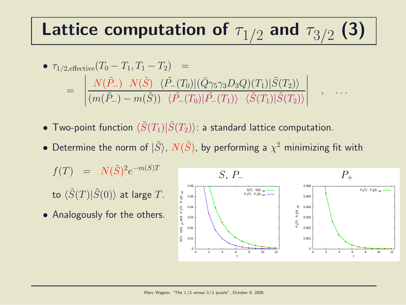#### Lattice computation of  $\tau_{1/2}$  and  $\tau_{3/2}$ (3)

• 
$$
\tau_{1/2,\text{effective}}(T_0 - T_1, T_1 - T_2) =
$$
  
\n
$$
= \left| \frac{N(\tilde{P}_-) \ N(\tilde{S}) \ \langle \tilde{P}_-(T_0) | (\bar{Q}\gamma_5 \gamma_3 D_3 Q)(T_1) | \tilde{S}(T_2) \rangle}{(m(\tilde{P}_-) - m(\tilde{S})) \ \langle \tilde{P}_-(T_0) | \tilde{P}_-(T_1) \rangle \ \langle \tilde{S}(T_1) | \tilde{S}(T_2) \rangle} \right|
$$

- Two-point function  $\langle \tilde{S}(T_1)|\tilde{S}(T_2)\rangle$ : a standard lattice computation.
- $\bullet$  Determine the norm of  $|\tilde{S}\rangle$ ,  $N(\tilde{S})$ , by performing a  $\chi^2$  minimizing fit with

 $f(T) = N(\tilde{S})^2 e^{-m(S)T}$ 

to  $\langle \tilde{S}(T)|\tilde{S}(0)\rangle$  at large T.

• Analogously for the others.



, . . .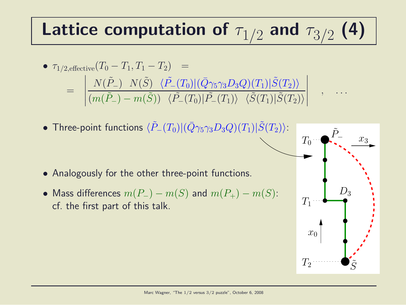#### Lattice computation of  $\tau_{1/2}$  and  $\tau_{3/2}$ (4)

• 
$$
\tau_{1/2,\text{effective}}(T_0 - T_1, T_1 - T_2) =
$$
  
\n
$$
= \left| \frac{N(\tilde{P}_-) - N(\tilde{S}) \langle \tilde{P}_-(T_0) | (\bar{Q}\gamma_5 \gamma_3 D_3 Q)(T_1) | \tilde{S}(T_2) \rangle}{(m(\tilde{P}_-) - m(\tilde{S})) \langle \tilde{P}_-(T_0) | \tilde{P}_-(T_1) \rangle \langle \tilde{S}(T_1) | \tilde{S}(T_2) \rangle} \right|
$$

• Three-point functions  $\langle \tilde{P}_-(T_0)|(\bar{Q}\gamma_5\gamma_3D_3Q)(T_1)|\tilde{S}(T_2)\rangle$ :

- Analogously for the other three-point functions.
- Mass differences  $m(P_+) m(S)$  and  $m(P_+) m(S)$ : cf. the first part of this talk.



, . . .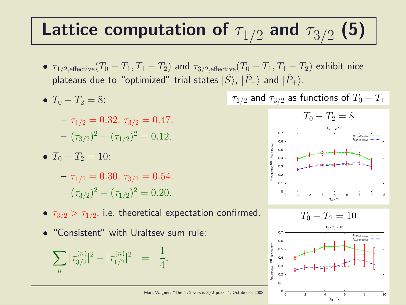#### Lattice computation of  $\tau_{1/2}$  and  $\tau_{3/2}$ (5)

- $\tau_{1/2,\text{effective}}(T_0-T_1,T_1-T_2)$  and  $\tau_{3/2,\text{effective}}(T_0-T_1,T_1-T_2)$  exhibit nice plateaus due to "optimized" trial states  $|\tilde{S}\rangle$ ,  $|\tilde{P}_-\rangle$  and  $|\tilde{P}_+\rangle$ .
- $T_0 T_2 = 8$ :

$$
-\tau_{1/2} = 0.32, \tau_{3/2} = 0.47.
$$

$$
-(\tau_{3/2})^2 - (\tau_{1/2})^2 = 0.12.
$$

•  $T_0 - T_2 = 10$ :

 $-\tau_{1/2} = 0.30, \tau_{3/2} = 0.54.$  $(\tau_{3/2})^2 - (\tau_{1/2})^2 = 0.20.$ 

- $\bullet$   $\tau_{3/2} > \tau_{1/2}$ , i.e. theoretical expectation confirmed.
- "Consistent" with Uraltsev sum rule:

$$
\sum_{n} |\tau_{3/2}^{(n)}|^2 - |\tau_{1/2}^{(n)}|^2 = \frac{1}{4}.
$$

 $\tau_{1/2}$  and  $\tau_{3/2}$  as functions of  $T_0 - T_1$ 



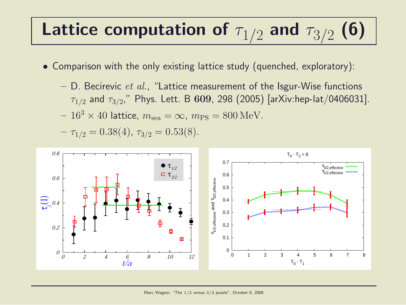#### Lattice computation of  $\tau_{1/2}$  and  $\tau_{3/2}$ (6)

- Comparison with the only existing lattice study (quenched, exploratory):
	- $-$  D. Becirevic *et al.*, "Lattice measurement of the Isgur-Wise functions  $\tau_{1/2}$  and  $\tau_{3/2}$ ," Phys. Lett. B  $\bf 609$ , 298 (2005) [arXiv:hep-lat/0406031].

$$
-163 \times 40
$$
 lattice,  $msea = \infty$ ,  $mPS = 800$  MeV.

 $- \tau_{1/2} = 0.38(4), \tau_{3/2} = 0.53(8).$